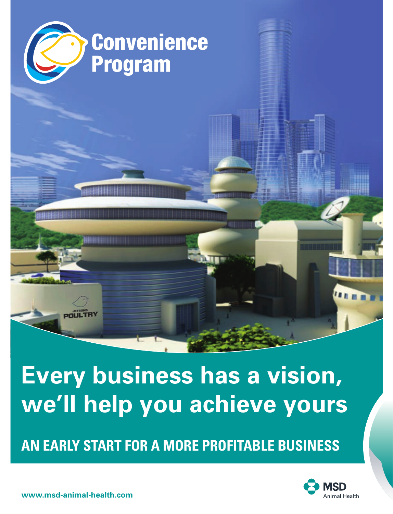

# **Every business has a vision, we'll help you achieve yours**

**AN EARLY START FOR A MORE PROFITABLE BUSINESS**



**www.msd-animal-health.com**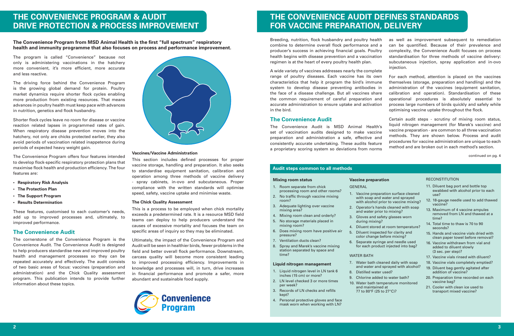# **THE CONVENIENCE PROGRAM & AUDIT DRIVE PROTECTION & PROCESS IMPROVEMENT**

**The Convenience Program from MSD Animal Health is the first "full spectrum" respiratory health and immunity programme that also focuses on process and performance improvement.**

The program is called "Convenience" because not only is administering vaccinations in the hatchery more convenient, it's more efficient, more accurate and less reactive.

The driving force behind the Convenience Program is the growing global demand for protein. Poultry market dynamics require shorter flock cycles enabling more production from existing resources. That means advances in poultry health must keep pace with advances in nutrition, genetics and flock husbandry.

Shorter flock cycles leave no room for disease or vaccine reaction related lapses in programmed rates of gain. When respiratory disease prevention moves into the hatchery, not only are chicks protected earlier, they also avoid periods of vaccination related inappetence during periods of expected heavy weight gain.

The Convenience Program offers four features intended to develop flock-specific respiratory protection plans that maximise flock health and production efficiency. The four features are:

- **• Respiratory Risk Analysis**
- **• The Protection Plan**
- **• The Support Program**
- **• Results Determination**

These features, customised to each customer's needs, add up to improved processes and, ultimately, to improved performance.

# **The Convenience Audit**

The cornerstone of the Convenience Program is the Convenience Audit. The Convenience Audit is designed to help producers standardise new and improved poultry health and management processes so they can be repeated accurately and effectively. The audit consists of two basic areas of focus: vaccines (preparation and administration) and the Chick Quality assessment program. This publication intends to provide further information about these topics.



#### **Vaccines/Vaccine Administration**

This section includes defined processes for proper vaccine storage, handling and preparation. It also seeks to standardise equipment sanitation, calibration and operation among three methods of vaccine delivery - spray cabinets, in-ovo and subcutaneous. Proper compliance with the written standards will optimise speed, safety, vaccine uptake and minimise waste.

#### **The Chick Quality Assessment**

This is a process to be employed when chick mortality exceeds a predetermined rate. It is a resource MSD field teams can deploy to help producers understand the causes of excessive mortality and focuses the team on specific areas of inquiry so they may be eliminated.

Ultimately, the impact of the Convenience Program and Audit will be seen in healthier birds, fewer problems in the field and better overall flock performance. Downstream, carcass quality will become more consistent leading to improved processing efficiency. Improvements in knowledge and processes will, in turn, drive increases in financial performance and promote a safer, more abundant and sustainable food supply.



# **THE CONVENIENCE AUDIT DEFINES STANDARDS FOR VACCINE PREPARATION, DELIVERY**

**Vaccine preparation**

during mixing?

8. Distilled water used?

and maintained at 77 to 80°F (25 to 27°C)?

WATER BATH

1. Vaccine preparation surface cleaned with soap and water and sprayed with alcohol prior to vaccine mixing? 2. Operator's hands cleaned with soap and water prior to mixing? 3. Gloves and safety glasses worn

4. Diluent stored at room temperature? 5. Diluent inspected for clarity and color change before mixing? 6. Separate syringe and needle used for each product injected into bag?

7. Water bath cleaned daily with soap and water and sprayed with alcohol?

9. Chlorine added to water bath? 10. Water bath temperature monitored

GENERAL

Breeding, nutrition, flock husbandry and poultry health combine to determine overall flock performance and a producer's success in achieving financial goals. Poultry health begins with disease prevention and a vaccination regimen is at the heart of every poultry health plan.

A wide variety of vaccines addresses nearly the complete range of poultry diseases. Each vaccine has its own characteristics that help it program the bird's immune system to develop disease preventing antibodies in the face of a disease challenge. But all vaccines share the common requirement of careful preparation and accurate administration to ensure uptake and activation in the bird.

# **The Convenience Audit**

The Convenience Audit is MSD Animal Health's set of vaccination audits designed to make vaccine preparation and administration a safe, effective and consistently accurate undertaking. These audits feature a proprietary scoring system so deviations from norms

as well as improvement subsequent to remediation can be quantified. Because of their prevalence and complexity, the Convenience Audit focuses on process standardisation for three methods of vaccine delivery: subcutaneous injection, spray application and in-ovo injection.

For each method, attention is placed on the vaccines themselves (storage, preparation and handling) and the administration of the vaccines (equipment sanitation, calibration and operation). Standardisation of these operational procedures is absolutely essential to process large numbers of birds quickly and safely while optimising vaccine uptake throughout the flock.

Certain audit steps - scrutiny of mixing room status, liquid nitrogen management (for Marek's vaccine) and vaccine preparation - are common to all three vaccination methods. They are shown below. Process and audit procedures for vaccine administration are unique to each method and are broken out in each method's section.

continued on pg. 4

# **Audit steps common to all methods**

# **Mixing room status**

- 1. Room separate from chick processing room and other rooms?
- 2. No traffic through vaccine mixing room?
- 3. Adequate lighting over vaccine mixing area?
- 4. Mixing room clean and orderly?
- 5. No storage materials placed in mixing room?
- 6. Does mixing room have positive air pressure?
- 7. Ventilation ducts clean?
- 8. Spray and Marek's vaccine mixing

time?

# station separated by space and

#### **Liquid nitrogen management**

- 1. Liquid nitrogen level in LN tank 6 inches (15 cm) or more?
- 2. LN level checked 3 or more times per week?
- 3. Records of LN checks and refills kept?
- Personal protective gloves and face mask worn when working with LN?

#### **RECONSTITUTION**

- 11. Diluent bag port and bottle top swabbed with alcohol prior to each use?
- 12. 18-gauge needle used to add thawed vaccine?
- 13. Maximum of 4 vaccine ampules removed from LN and thawed at a time?
- 14. Total time to thaw is 70 to 90 seconds?
- 15. Hands and vaccine vials dried with clean paper towel before removal?
- 16. Vaccine withdrawn from vial and added to diluent slowly (3 sec. per step)?
- 17. Vaccine vials rinsed with diluent?
- 18. Vaccine vials completely emptied?
- 19. Diluent bag gently agitated after addition of vaccine?
- 20. Preparation time recorded on each vaccine bag?
- 21. Cooler with clean ice used to transport mixed vaccine?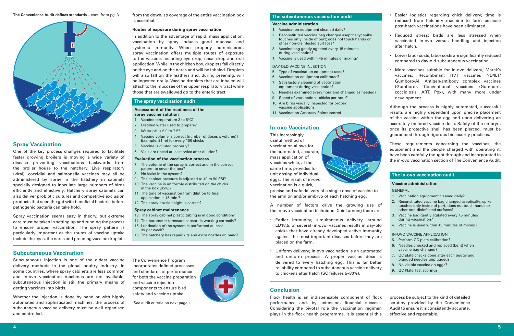

# **Spray Vaccination**

One of the key process changes required to facilitate faster growing broilers is moving a wide variety of disease preventing vaccinations backwards from the broiler house to the hatchery. Live respiratory (viral), coccidial and salmonella vaccines may all be administered by spray in the hatchery in cabinets specially designed to inoculate large numbers of birds efficiently and effectively. Hatchery spray cabinets can also deliver probiotic cultures and competitive exclusion products that seed the gut with beneficial bacteria before pathogenic bacteria can take hold.

Spray vaccination seems easy in theory, but extreme care must be taken in setting up and running the process to ensure proper vaccination. The spray pattern is particularly important as the routes of vaccine uptake include the eyes, the nares and preening vaccine droplets

**Subcutaneous Vaccination**

Subcutaneous injection is one of the oldest vaccine delivery methods in the global poultry industry. In some countries, where spray cabinets are less common and in-ovo vaccination machines are not available, subcutaneous injection is still the primary means of getting vaccines into birds.

Whether the injection is done by hand or with highly automated and sophisticated machines, the process of subcutaneous vaccine delivery must be well organised and controlled.

from the down, so coverage of the entire vaccination box is essential.

#### **Routes of exposure during spray vaccination**

In addition to the advantage of rapid, mass application, vaccination by spray induces good mucosal and systemic immunity. When properly administered, spray vaccination offers multiple routes of exposure to the vaccine, including eye drop, nasal drop and oral application. While in the chicken box, droplets fall directly on the eye and on the nares and will be inhaled. Droplets will also fall on the feathers and, during preening, will be ingested orally. Vaccine droplets that are inhaled will attach to the mucosae of the upper respiratory tract while those that are swallowed go to the enteric tract.

## **The spray vaccination audit**

#### **Assessment of the readiness of the spray vaccine solution**

- 1. Vaccine temperature 2 to 8°C?
- 2. Distilled water used to prepare?
- 3. Water pH is 6.0 to 7.5?
- 4. Vaccine volume is correct (number of doses x volume)? Example: 21 ml for every 100 chicks
- 5. Vaccine is diluted properly?
- 6. Vials are rinsed at least twice after dilution?

#### **Evaluation of the vaccination process**

- 7. The volume of the spray is correct and in the correct pattern to cover the box?
- 8. No leaks in the system?
- 9. The cabinet pressure is adjusted to 40 to 50 PSI?
- 10. The vaccine is uniformly distributed on the chicks in the box (95%)? 11. The time of vaccination from dilution to final
- application is 45 min.?
- 12. The spray nozzle height is correct?

## **Spray cabinet maintenance**

- 13. The spray cabinet plastic tubing is in good condition?
- 14. The barometer (pressure sensor) is working correctly?
- 15. Lubrication of the system is performed at least 3x per week?
- 16. The hatchery has repair kits and extra nozzles on hand?

**The subcutaneous vaccination audit**

## **Vaccine administration**

- 1. Vaccination equipment cleaned daily?
- 2. Reconstituted vaccine bag changed aseptically; spike touches only inside of port; does not touch hands or other non-disinfected surfaces?
- 3. Vaccine bag gently agitated every 15 minutes during vaccination?
- 4. Vaccine is used within 45 minutes of mixing?

#### DAY-OLD VACCINE INJECTION

- 5. Type of vaccination equipment used?
- 6. Vaccination equipment calibrated?
- 7. Satisfactory cleaning of vaccination equipment during vaccination?
- 8. Needles examined every hour and changed as needed?
- 9. Speed of vaccination chicks per hour?
- 10. Are birds visually inspected for proper vaccine application?
- 11. Vaccination Accuracy Points scored

# **In-ovo Vaccination**

This increasingly useful method of vaccination allows for the automated, accurate, mass application of vaccines while, at the same time, provides for unit dosing of individual eggs. The result of in-ovo vaccination is a quick,

precise and safe delivery of a single dose of vaccine to the amnion and/or embryo of each hatching egg.

A number of factors drive the growing use of the in-ovo vaccination technique. Chief among them are:

- Earlier Immunity; simultaneous delivery, around ED18,5, of several (in-ovo) vaccines results in day-old chicks that have already developed active immunity against the most important diseases before they are placed on the farm.
- Uniform delivery; in-ovo vaccination is an automated and uniform process. A proper vaccine dose is delivered to every hatching egg. This is far better reliability compared to subcutaneous vaccine delivery to chickens after hatch (SC failures 5–30%).

# **Conclusion**

Flock health is an indispensable component of flock performance and, by extension, financial success. Considering the pivotal role the vaccination regimen plays in the flock health programme, it is essential this

- Easier logistics regarding chick delivery; time is reduced from hatchery machine to farm because post-hatch vaccinations have been eliminated.
- Reduced stress; birds are less stressed when vaccinated in-ovo versus handling and injection after hatch.
- Lower labor costs; labor costs are significantly reduced compared to day-old subcutaneous vaccination.
- More vaccines suitable for in-ovo delivery; Marek's vaccines, Recombinant HVT vaccines ND/ILT/ Gumboro/AI, Antigen/antibody complex vaccines (Gumboro), Conventional vaccines (Gumboro, coccidiosis, ART, Pox), with many more under development.

Although the process is highly automated, successful results are highly dependent upon precise placement of the vaccine within the egg and upon delivering an accurately metered vaccine dose. Safety of the embryo, once its protective shell has been pierced, must be guaranteed through rigorous biosecurity practices.

These requirements concerning the vaccines, the equipment and the people charged with operating it, have been carefully thought through and incorporated in the in-ovo vaccination section of The Convenience Audit.

# **The in-ovo vaccination audit**

# **Vaccine administration**

### GENERAL

- 1. Vaccination equipment cleaned daily?
- 2. Reconstituted vaccine bag changed aseptically; spike touches only inside of port; does not touch hands or other non-disinfected surfaces?
- 3. Vaccine bag gently agitated every 15 minutes during vaccination?
- 4. Vaccine is used within 45 minutes of mixing?

### IN-OVO VACCINE APPLICATION

- 5. Perform QC plate calibration?
- 6. Needles checked and replaced (bent) when vaccine bag changed?
- 7. QC plate checks done after each buggy and plugged needles unplugged?
- 8. No visible vaccine on eggs?
- 9. QC Plate Test scoring?

process be subject to the kind of detailed scrutiny provided by the Convenience Audit to ensure it is consistently accurate, effective and repeatable.

The Convenience Program incorporates defined processes and standards of performance for both the vaccine preparation and vaccine injection components to ensure bird safety and vaccine uptake.

(See audit criteria on next page.)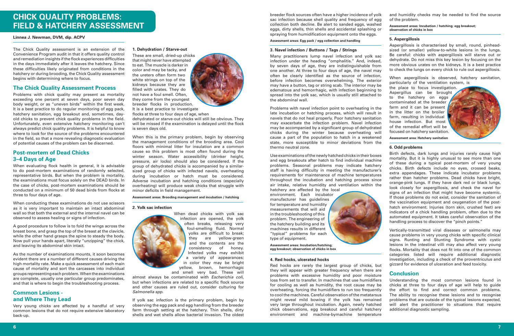# **CHICK QUALITY PROBLEMS: FIELD & HATCHERY ASSESSMENT**

#### **Linnea J. Newman, DVM, dip. ACPV**

The Chick Quality assessment is an extension of the Convenience Program audit in that it offers quality control and remediation insights if the flock experiences difficulties in the days immediately after it leaves the hatchery. Since these difficulties likely originated from conditions in the hatchery or during brooding, the Chick Quality assessment begins with determining where to focus.

#### **The Chick Quality Assessment Process**

Problems with chick quality may present as mortality exceeding one percent at seven days, poor seven day body weight, or as "uneven birds" within the first week. It is a best practice to do regular monitoring of egg pack, hatchery sanitation, egg breakout and, sometimes, dayold chicks to prevent chick quality problems in the field. Unfortunately, even extensive hatchery monitoring can't always predict chick quality problems. It is helpful to know where to look for the source of the problems encountered in the field, so that a more revealing diagnostic evaluation of potential causes of the problem can be discerned.

# **Post-mortem of Dead Chicks 3–4 Days of Age**

When evaluating flock health in general, it is advisable to do post-mortem examinations of randomly selected, representative birds. But when the problem is mortality, the examinations must focus solely on the DEAD birds. In the case of chicks, post-mortem examinations should be conducted on a minimum of 50 dead birds from flocks at three to four days of age.

When conducting these examinations do not use scissors as it is very important to maintain an intact abdominal wall so that both the external and the internal navel can be observed to assess healing or signs of infection.

A good procedure to follow is to fold the wings across the breast bone, and grasp the top of the breast at the clavicle, while the other hand grasps the spine to steady the body. Now pull your hands apart, literally "unzipping" the chick, and leaving its abdominal skin intact.

As the number of examinations mounts, it soon becomes evident there are a number of different causes driving the high mortality rate. Make a quick assessment of each main cause of mortality and sort the carcasses into individual groups representing each problem. When the examinations are complete, usually one particular group predominates, and that is where to begin the troubleshooting process.

# **Common Lesions and Where They Lead**

Very young chicks are affected by a handful of very common lesions that do not require extensive laboratory back-up.

# **1. Dehydration / Starve-out**

These are small, dried-up chicks that might never have attempted to eat. The muscle is darker in color and may be tacky, and the ureters often form two white strings on top of the kidneys because they are filled with urates. They do not have a foul smell. Often, they come from the youngest breeder flocks in production. It is a best practice to investigate flocks at three to four days of age, when

dehydrated or starve-out chicks will still be obvious. They will be missed if the examination is delayed until the flock is seven days old.

When this is the primary problem, begin by observing the management conditions of the brooding area. Cool floors with minimal litter for insulation are a common cause so this problem is most often found during the winter season. Water accessibility (drinker height, pressure, air locks) should also be considered. If the group of dehydrated chicks is accompanied by a similarsized group of chicks with infected navels, overheating during incubation or hatch must be considered. Adverse incubation and hatching conditions (especially overheating) will produce weak chicks that struggle with minor deficits in field management.

#### **Assessment areas: Brooding management and incubation / hatching**

#### **2. Yolk sac infection**



infection are opened, the yolk often breaks, releasing very foul-smelling fluid. Normal yolks are difficult to break; they are yellow-green and the contents are the consistency of honey. Infected yolks may exhibit a variety of appearances; in color they may be bright yellow, brown, hemorrhagic

When dead chicks with yolk sac

and smell very bad. These will almost always be contaminated with *Escherichia coli*, but when infections are related to a specific flock source and other causes are ruled out, consider culturing for *Salmonella spp*.

If yolk sac infection is the primary problem, begin by observing the egg pack and egg handling from the breeder farm through setting at the hatchery. Thin shells, dirty shells and wet shells allow bacterial invasion. The oldest breeder flock sources often have a higher incidence of yolk sac infection because shell quality and frequency of egg collection both decline. Be alert to sanded eggs, washed eggs, dirty shells, thin shells and accidental splashing or spraying from humidification equipment onto the eggs.

#### **Assessment areas: Egg pack / egg collection and handling**

#### **3. Navel infection / Buttons / Tags / Strings**

Many practitioners lump navel infection and yolk sac infection under the heading "omphalitis." And, indeed, by seven days of age, they are indistinguishable from one another. At three to four days of age, the navel may often be clearly identified as the source of infection, before infection becomes overwhelming. The exterior may have a button, tag or string scab. The interior may be edematous and hemorrhagic, with infection beginning to spread into the yolk sac, which is usually still attached to the abdominal wall.

Problems with navel infection point to overheating in the late incubation or hatching process, which will result in navels that do not heal properly. Poor hatchery sanitation may exacerbate the infection problem. Navel infection may be accompanied by a significant group of dehydrated chicks during the winter because overheating will cause a part of the population to hatch in a weakened state, more susceptible to minor deviations from the thermo neutral zone.

Use examinations of the newly hatched chicks in their boxes and egg breakouts after hatch to find individual machine problems. Seasonal problems may indicate hatchery staff is having difficulty in meeting the manufacturer's requirements for maintenance of machine temperatures throughout the incubation and hatching process since air intake, relative humidity and ventilation within the

hatchery are affected by the local environment. Each incubator manufacturer has guidelines for temperature and humidity measurements that will aid in the troubleshooting of this problem. The engineering of the hatchery building and its machines results in different "typical" problems for each type of equipment.

**Assessment areas: Incubation/hatching; egg breakout; observation of chicks in box**

#### **4. Red hocks, ulcerated hocks**

Red hocks are rarely the largest group of chicks, but they will appear with greater frequency when there are problems with excessive humidity and poor moisture loss from set to transfer. In machines that use humidifiers for cooling as well as humidity, the root cause may be overheating, forcing the humidifiers to run too frequently to cool the machines. Careful observation of the metatarsus might reveal mild bowing if the yolk has remained very large throughout incubation. Again, newly hatched chick observations, egg breakout and careful hatchery environment and machine-bymachine temperature

and humidity checks may be needed to find the source of the problem.

#### **Assessment areas: Incubation / hatching; egg breakout; observation of chicks in box**

#### **5. Aspergillosis**

Aspergillosis is characterised by small, round, pinheadsized (or smaller) yellow-to-white lesions in the lungs. Be careful: chicks with aspergillosis will starve out or dehydrate. Do not miss this key lesion by focusing on the more obvious urates on the kidneys. It is a best practice to check the lungs on every chick to rule out aspergillosis.

When aspergillosis is observed, hatchery sanitation, particularly of the ventilation system, is

the place to focus investigation. Aspergillus can be brought to the hatchery on eggs contaminated at the breeder farm and it can be present in the litter on the broiler farm, resulting in individual house infection. But most of the remedial effort will be focused on hatchery sanitation.



**Assessment area: Hatchery sanitation**

#### **6. Odd problems**

Birth defects, dark lungs and injuries rarely cause high mortality. But it is highly unusual to see more than one of these during a typical post-mortem of very young chicks. Birth defects include no eyes, crossed beaks, extra appendages. These indicate incubator problems rather than hatcher problems. Dead chicks have bright, orange-pink lungs. If they have dark red or black lungs, look closely for aspergillosis, and check the navel for signs of an infection that might have become systemic. If those problems do not exist, consider the sanitation of the vaccination equipment and oxygenation of the posthatch environment. Injuries (torn skin, crushed feet) are indicators of a chick handling problem, often due to the automated equipment. It takes careful observation of the handling process to discover the "pinch points."

Vertically-transmitted viral diseases or salmonella may cause problems in very young chicks with specific clinical signs. Runting and Stunting Syndrome with cystic lesions in the intestinal villi may also affect very young flocks. Mortality that does not fit into one of the common categories listed will require additional diagnostic investigation, including a check of the proventriculus and gizzard for evidence of ulceration and feed toxicity.

# **Conclusion**

Understanding the most common lesions found in chicks at three to four days of age will help to guide the effort to find and correct common problems. The ability to recognise these lesions and to recognise problems that are outside of the typical lesions expected, will alert the practitioner to situations that require additional diagnostic sampling.